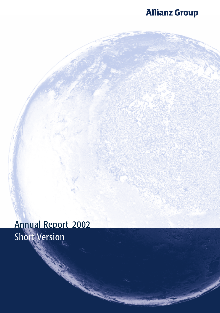# **Allianz Group**

Annual Report 2002 Short Version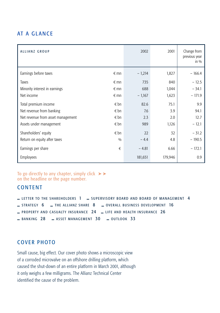# AT A GLANCE

| ALLIANZ GROUP                     |               | 2002     | 2001    | Change from<br>previous year<br>in $\%$ |
|-----------------------------------|---------------|----------|---------|-----------------------------------------|
| Earnings before taxes             | $\notin$ mn   | $-1,214$ | 1,827   | $-166.4$                                |
| Taxes                             | $\n  Emn\n$   | 735      | 840     | $-12.5$                                 |
| Minority interest in earnings     | $\n  mn\n$    | 688      | 1,044   | $-34.1$                                 |
| Net income                        | $\n  mn\n$    | $-1,167$ | 1,623   | $-171.9$                                |
| Total premium income              | $\epsilon$ bn | 82.6     | 75.1    | 9.9                                     |
| Net revenue from banking          | $\epsilon$ bn | 7.6      | 3.9     | 94.1                                    |
| Net revenue from asset management | $\notin$ bn   | 2.3      | 2.0     | 12.7                                    |
| Assets under management           | $\epsilon$ bn | 989      | 1,126   | $-12.1$                                 |
| Shareholders' equity              | $\epsilon$ bn | 22       | 32      | $-31.2$                                 |
| Return on equity after taxes      | $\frac{0}{0}$ | $-4.4$   | 4.8     | $-190.5$                                |
| Earnings per share                | €             | $-4.81$  | 6.66    | $-172.1$                                |
| Employees                         |               | 181,651  | 179,946 | 0.9                                     |

To go directly to any chapter, simply click  $\triangleright$ on the headline or the page number.

# CONTENT

- **\_ LETTER TO THE SHAREHOLDERS 1 \_ SUPERVISORY BOARD AND BOARD OF MANAGEMENT 4**
- **\_** STRATEGY 6 **\_** THE ALLIANZ SHARE 8 **\_** OVERALL BUSINESS DEVELOPMENT 16
- **\_ PROPERTY AND CASUALTY INSURANCE 24 \_ LIFE AND HEALTH INSURANCE 26**
- **\_** BANKING 28 **\_** ASSET MANAGEMENT 30 **\_** OUTLOOK 33

## COVER PHOTO

Small cause, big effect. Our cover photo shows a microscopic view of a corroded microvalve on an offshore drilling platform, which caused the shut-down of an entire platform in March 2001, although it only weighs a few milligrams. The Allianz Technical Center identified the cause of the problem.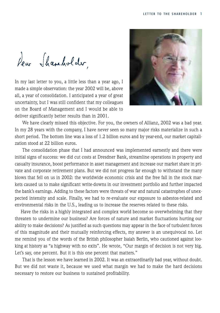Peux Shareholder

In my last letter to you, a little less than a year ago, I made a simple observation: the year 2002 will be, above all, a year of consolidation. I anticipated a year of great uncertainty, but I was still confident that my colleagues on the Board of Management and I would be able to deliver significantly better results than in 2001.



We have clearly missed this objective. For you, the owners of Allianz, 2002 was a bad year. In my 28 years with the company, I have never seen so many major risks materialize in such a short period. The bottom line was a loss of 1.2 billion euros and by year-end, our market capitalization stood at 22 billion euros.

The consolidation phase that I had announced was implemented earnestly and there were initial signs of success: we did cut costs at Dresdner Bank, streamline operations in property and casualty insurance, boost performance in asset management and increase our market share in private and corporate retirement plans. But we did not progress far enough to withstand the many blows that fell on us in 2002: the worldwide economic crisis and the free fall in the stock markets caused us to make significant write-downs in our investment portfolio and further impacted the bank's earnings. Adding to these factors were threats of war and natural catastrophes of unexpected intensity and scale. Finally, we had to re-evaluate our exposure to asbestos-related and environmental risks in the U.S., leading us to increase the reserves related to these risks.

Have the risks in a highly integrated and complex world become so overwhelming that they threaten to undermine our business? Are forces of nature and market fluctuations hurting our ability to make decisions? As justified as such questions may appear in the face of turbulent forces of this magnitude and their mutually reinforcing effects, my answer is an unequivocal no. Let me remind you of the words of the British philosopher Isaiah Berlin, who cautioned against looking at history as "a highway with no exits". He wrote, "Our margin of decision is not very big. Let's say, one percent. But it is this one percent that matters."

That is the lesson we have learned in 2002. It was an extraordinarily bad year, without doubt. But we did not waste it, because we used what margin we had to make the hard decisions necessary to restore our business to sustained profitability.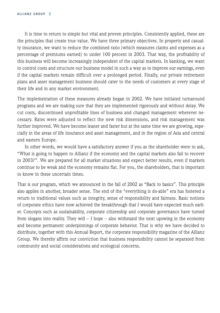It is time to return to simple but vital and proven principles. Consistently applied, these are the principles that create true value. We have three primary objectives. In property and casualty insurance, we want to reduce the combined ratio (which measures claims and expenses as a percentage of premiums earned) to under 100 percent in 2003. That way, the profitability of this business will become increasingly independent of the capital markets. In banking, we want to control costs and structure our business model in such a way as to improve our earnings, even if the capital markets remain difficult over a prolonged period. Finally, our private retirement plans and asset management business should cater to the needs of customers at every stage of their life and in any market environment.

The implementation of these measures already began in 2002. We have initiated turnaround programs and we are making sure that they are implemented rigorously and without delay. We cut costs, discontinued unprofitable lines of business and changed management wherever necessary. Rates were adjusted to reflect the new risk dimensions, and risk management was further improved. We have become leaner and faster but at the same time we are growing, especially in the areas of life insurance and asset management, and in the region of Asia and central and eastern Europe.

In other words, we would have a satisfactory answer if you as the shareholder were to ask, "What is going to happen to Allianz if the economy and the capital markets also fail to recover in 2003?". We are prepared for all market situations and expect better results, even if markets continue to be weak and the economy remains flat. For you, the shareholders, that is important to know in these uncertain times.

That is our program, which we announced in the fall of 2002 as "Back to basics". This principle also applies in another, broader sense. The end of the "everything is do-able" era has fostered a return to traditional values such as integrity, sense of responsibility and fairness. Basic notions of corporate ethics have now achieved the breakthrough that I would have expected much earlier. Concepts such as sustainability, corporate citizenship and corporate governance have turned from slogans into reality. They will  $-1$  hope  $-$  also withstand the next upswing in the economy and become permanent underpinnings of corporate behavior. That is why we have decided to distribute, together with this Annual Report, the corporate responsibility magazine of the Allianz Group. We thereby affirm our conviction that business responsibility cannot be separated from community and social considerations and ecological concerns.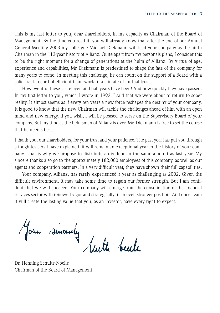This is my last letter to you, dear shareholders, in my capacity as Chairman of the Board of Management. By the time you read it, you will already know that after the end of our Annual General Meeting 2003 my colleague Michael Diekmann will lead your company as the ninth Chairman in the 112-year history of Allianz. Quite apart from my personals plans, I consider this to be the right moment for a change of generations at the helm of Allianz. By virtue of age, experience and capabilities, Mr. Diekmann is predestined to shape the fate of the company for many years to come. In meeting this challenge, he can count on the support of a Board with a solid track record of efficient team work in a climate of mutual trust.

How eventful these last eleven and half years have been! And how quickly they have passed. In my first letter to you, which I wrote in 1992, I said that we were about to return to sober reality. It almost seems as if every ten years a new force reshapes the destiny of your company. It is good to know that the new Chairman will tackle the challenges ahead of him with an open mind and new energy. If you wish, I will be pleased to serve on the Supervisory Board of your company. But my time as the helmsman of Allianz is over. Mr. Diekmann is free to set the course that he deems best.

I thank you, our shareholders, for your trust and your patience. The past year has put you through a tough test. As I have explained, it will remain an exceptional year in the history of your company. That is why we propose to distribute a dividend in the same amount as last year. My sincere thanks also go to the approximately 182,000 employees of this company, as well as our agents and cooperation partners. In a very difficult year, they have shown their full capabilities.

Your company, Allianz, has rarely experienced a year as challenging as 2002. Given the difficult environment, it may take some time to regain our former strength. But I am confident that we will succeed. Your company will emerge from the consolidation of the financial services sector with renewed vigor and strategically in an even stronger position. And once again it will create the lasting value that you, as an investor, have every right to expect.

Sincerely lutte buile

Dr. Henning Schulte-Noelle Chairman of the Board of Management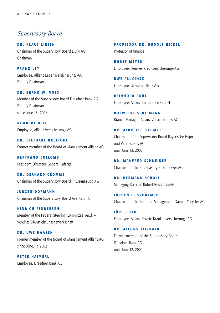# *Supervisory Board*

DR. KLAUS LIESEN Chairman of the Supervisory Board E.ON AG Chairman

FRANK LEY Employee, Allianz Lebensversicherungs-AG Deputy Chairman

DR. BERND W. VOSS Member of the Supervisory Board Dresdner Bank AG Deputy Chairman, since June 13, 2002

NORBERT BLIX Employee, Allianz Versicherungs-AG

DR. DIETHART BREIPOHL Former member of the Board of Management Allianz AG

BERTRAND COLLOMB Président Directeur Général Lafarge

DR. GERHARD CROMME Chairman of the Supervisory Board ThyssenKrupp AG

JÜRGEN DORMANN Chairman of the Supervisory Board Aventis S. A.

HINRICH FEDDERSEN Member of the Federal Steering Committee ver.di – Vereinte Dienstleistungsgewerkschaft

DR. UWE HAASEN Former member of the Board of Management Allianz AG since June, 13 2002

PETER HAIMERL Employee, Dresdner Bank AG PROFESSOR DR . RUDOLF HICKEL

Professor of finance

HORST MEYER Employee, Hermes Kreditversicherungs-AG

UWE PLUCINSKI Employee, Dresdner Bank AG

REINHOLD POHL Employee, Allianz Immobilien GmbH

ROSWITHA SCHIEMANN Branch Manager, Allianz Versicherungs-AG

DR. ALBRECHT SCHMIDT Chairman of the Supervisory Board Bayerische Hypound Vereinsbank AG until June 12, 2002

DR. MANERED SCHNEIDER Chairman of the Supervisory Board Bayer AG

DR. HERMANN SCHOLL Managing Director Robert Bosch GmbH

JÜRGEN E. SCHREMPP Chairman of the Board of Management DaimlerChrysler AG

JÖRG THAU Employee, Allianz Private Krankenversicherungs-AG

DR. ALFONS TITZRATH Former member of the Supervisory Board Dresdner Bank AG until June 12, 2002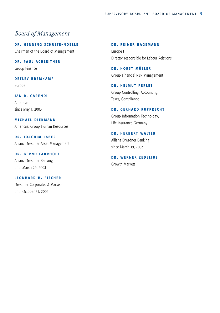# *Board of Management*

DR. HENNING SCHULTE-NOELLE

Chairman of the Board of Management

DR. PAUL ACHLEITNER Group Finance

DETLEV BREMKAMP Europe II

JAN R. CARENDI Americas since May 1, 2003

MICHAEL DIEKMANN Americas, Group Human Resources

DR. JOACHIM FABER Allianz Dresdner Asset Management

DR. BERND FAHRHOLZ Allianz Dresdner Banking until March 25, 2003

LEONHARD H. FISCHER Dresdner Corporates & Markets until October 31, 2002

DR. REINER HAGEMANN Europe I Director responsible for Labour Relations

DR. HORST MÜLLER Group Financial Risk Management

DR. HELMUT PERLET Group Controlling, Accounting, Taxes, Compliance

DR. GERHARD RUPPRECHT Group Information Technology, Life Insurance Germany

DR. HERBERT WALTER Allianz Dresdner Banking since March 19, 2003

DR. WERNER ZEDELIUS Growth Markets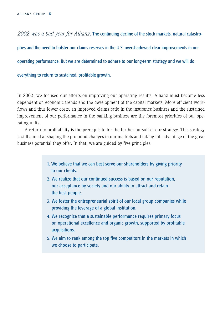*2002 was a bad year for Allianz.* The continuing decline of the stock markets, natural catastro-

phes and the need to bolster our claims reserves in the U.S. overshadowed clear improvements in our

operating performance. But we are determined to adhere to our long-term strategy and we will do

everything to return to sustained, profitable growth.

In 2002, we focused our efforts on improving our operating results. Allianz must become less dependent on economic trends and the development of the capital markets. More efficient workflows and thus lower costs, an improved claims ratio in the insurance business and the sustained improvement of our performance in the banking business are the foremost priorities of our operating units.

A return to profitability is the prerequisite for the further pursuit of our strategy. This strategy is still aimed at shaping the profound changes in our markets and taking full advantage of the great business potential they offer. In that, we are guided by five principles:

- 1. We believe that we can best serve our shareholders by giving priority to our clients.
- 2. We realize that our continued success is based on our reputation, our acceptance by society and our ability to attract and retain the best people.
- 3. We foster the entrepreneurial spirit of our local group companies while providing the leverage of a global institution.
- 4. We recognize that a sustainable performance requires primary focus on operational excellence and organic growth, supported by profitable acquisitions.
- 5. We aim to rank among the top five competitors in the markets in which we choose to participate.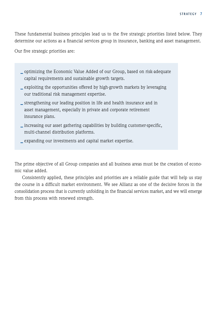These fundamental business principles lead us to the five strategic priorities listed below. They determine our actions as a financial services group in insurance, banking and asset management.

Our five strategic priorities are:

- **\_** optimizing the Economic Value Added of our Group, based on risk-adequate capital requirements and sustainable growth targets.
- **\_** exploiting the opportunities offered by high-growth markets by leveraging our traditional risk management expertise.
- **\_** strengthening our leading position in life and health insurance and in asset management, especially in private and corporate retirement insurance plans.
- **\_** increasing our asset gathering capabilities by building customer-specific, multi-channel distribution platforms.
- **\_** expanding our investments and capital market expertise.

The prime objective of all Group companies and all business areas must be the creation of economic value added.

Consistently applied, these principles and priorities are a reliable guide that will help us stay the course in a difficult market environment. We see Allianz as one of the decisive forces in the consolidation process that is currently unfolding in the financial services market, and we will emerge from this process with renewed strength.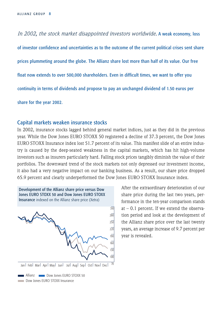*In 2002, the stock market disappointed investors worldwide.* A weak economy, loss

of investor confidence and uncertainties as to the outcome of the current political crises sent share

prices plummeting around the globe. The Allianz share lost more than half of its value. Our free

float now extends to over 500,000 shareholders. Even in difficult times, we want to offer you

continuity in terms of dividends and propose to pay an unchanged dividend of 1.50 euros per

share for the year 2002.

### Capital markets weaken insurance stocks

In 2002, insurance stocks lagged behind general market indices, just as they did in the previous year. While the Dow Jones EURO STOXX 50 registered a decline of 37.3 percent, the Dow Jones EURO STOXX Insurance index lost 51.7 percent of its value. This manifest slide of an entire industry is caused by the deep-seated weakness in the capital markets, which has hit high-volume investors such as insurers particularly hard. Falling stock prices tangibly diminish the value of their portfolios. The downward trend of the stock markets not only depressed our investment income, it also had a very negative impact on our banking business. As a result, our share price dropped 65.9 percent and clearly underperformed the Dow Jones EURO STOXX Insurance index.



Dow Jones EURO STOXX Insurance Allianz Dow Jones EURO STOXX 50 After the extraordinary deterioration of our share price during the last two years, performance in the ten-year comparison stands  $at - 0.1$  percent. If we extend the observation period and look at the development of the Allianz share price over the last twenty years, an average increase of 9.7 percent per year is revealed.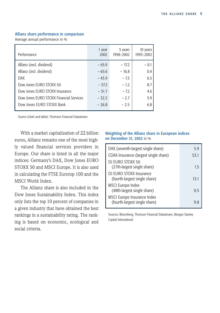#### Allianz share performance in comparison

Average annual performance in %

| Performance                             | 1 year<br>2002 | 5 years<br>1998-2002 | 10 years<br>1993-2002 |
|-----------------------------------------|----------------|----------------------|-----------------------|
| Allianz (excl. dividend)                | $-65.9$        | $-17.2$              | $-0.1$                |
| Allianz (incl. dividend)                | $-65.6$        | $-16.8$              | 0.4                   |
| DAX                                     | $-43.9$        | $-7.3$               | 6.5                   |
| Dow Jones EURO STOXX 50                 | $-37.3$        | $-1.2$               | 8.7                   |
| Dow Jones EURO STOXX Insurance          | $-51.7$        | $-7.2$               | 4.6                   |
| Dow Jones EURO STOXX Financial Services | $-32.2$        | $-2.7$               | 5.9                   |
| Dow Jones EURO STOXX Bank               | $-26.8$        | $-2.5$               | 6.8                   |
|                                         |                |                      |                       |

Source (chart and table): Thomson Financial Datastream

With a market capitalization of 22 billion euros, Allianz remains one of the most highly valued financial services providers in Europe. Our share is listed in all the major indices: Germany's DAX, Dow Jones EURO STOXX 50 and MSCI Europe. It is also used in calculating the FTSE Eurotop 100 and the MSCI World Index.

The Allianz share is also included in the Dow Jones Sustainability Index. This index only lists the top 10 percent of companies in a given industry that have obtained the best rankings in a sustainability rating. The ranking is based on economic, ecological and social criteria.

#### Weighting of the Allianz share in European indices on December 31, 2002 in %

| DAX (seventh-largest single share)                           | 59   |
|--------------------------------------------------------------|------|
| CDAX Insurance (largest single share)                        | 53.1 |
| DJ EURO STOXX 50<br>(27th-largest single share)              | 15   |
| DJ EURO STOXX Insurance<br>(fourth-largest single share)     | 13.1 |
| MSCI Europe Index<br>(48th-largest single share)             | 05   |
| MSCI Europe Insurance Index<br>(fourth-largest single share) | 98   |

Sources: Bloomberg, Thomson Financial Datastream, Morgan Stanley Capital International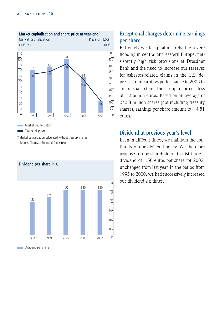

\*) Market capitalization calculated without treasury shares Source: Thomson Financial Datastream



#### Dividend per share

# Exceptional charges determine earnings per share

Extremely weak capital markets, the severe flooding in central and eastern Europe, persistently high risk provisions at Dresdner Bank and the need to increase our reserves for asbestos-related claims in the U.S. depressed our earnings performance in 2002 to an unusual extent. The Group reported a loss of 1.2 billion euros. Based on an average of 242.8 million shares (not including treasury shares), earnings per share amount to  $-4.81$ euros.

# Dividend at previous year's level

Even in difficult times, we maintain the continuity of our dividend policy. We therefore propose to our shareholders to distribute a dividend of 1.50 euros per share for 2002, unchanged from last year. In the period from 1995 to 2000, we had successively increased our dividend six times.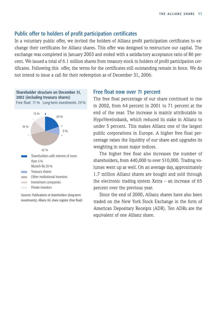# Public offer to holders of profit participation certificates

In a voluntary public offer, we invited the holders of Allianz profit participation certificates to exchange their certificates for Allianz shares. This offer was designed to restructure our capital. The exchange was completed in January 2003 and ended with a satisfactory acceptance ratio of 86 percent. We issued a total of 6.1 million shares from treasury stock to holders of profit participation certificates. Following this offer, the terms for the certificates still outstanding remain in force. We do not intend to issue a call for their redemption as of December 31, 2006.



Sources: Publications of shareholders (long-term investments), Allianz AG share register (free float)

#### Free float now over 71 percent

The free float percentage of our share continued to rise in 2002, from 64 percent in 2001 to 71 percent at the end of the year. The increase is mainly attributable to HypoVereinsbank, which reduced its stake in Allianz to under 5 percent. This makes Allianz one of the largest public corporations in Europe. A higher free float percentage raises the liquidity of our share and upgrades its weighting in most major indices.

The higher free float also increases the number of shareholders, from 440,000 to over 510,000. Trading volumes went up as well. On an average day, approximately 1.7 million Allianz shares are bought and sold through the electronic trading system Xetra – an increase of 65 percent over the previous year.

Since the end of 2000, Allianz shares have also been traded on the New York Stock Exchange in the form of American Depositary Receipts (ADR). Ten ADRs are the equivalent of one Allianz share.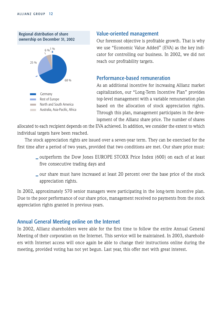Regional distribution of share ownership on December 31, 2002



#### Value-oriented management

Our foremost objective is profitable growth. That is why we use "Economic Value Added" (EVA) as the key indicator for controlling our business. In 2002, we did not reach our profitability targets.

## Performance-based remuneration

As an additional incentive for increasing Allianz market capitalization, our "Long-Term Incentive Plan" provides top-level management with a variable remuneration plan based on the allocation of stock appreciation rights. Through this plan, management participates in the development of the Allianz share price. The number of shares

allocated to each recipient depends on the EVA achieved. In addition, we consider the extent to which individual targets have been reached.

The stock appreciation rights are issued over a seven-year term. They can be exercised for the first time after a period of two years, provided that two conditions are met. Our share price must:

- **\_** outperform the Dow Jones EUROPE STOXX Price Index (600) on each of at least five consecutive trading days and
- **\_** our share must have increased at least 20 percent over the base price of the stock appreciation rights.

In 2002, approximately 570 senior managers were participating in the long-term incentive plan. Due to the poor performance of our share price, management received no payments from the stock appreciation rights granted in previous years.

## Annual General Meeting online on the Internet

In 2002, Allianz shareholders were able for the first time to follow the entire Annual General Meeting of their corporation on the Internet. This service will be maintained. In 2003, shareholders with Internet access will once again be able to change their instructions online during the meeting, provided voting has not yet begun. Last year, this offer met with great interest.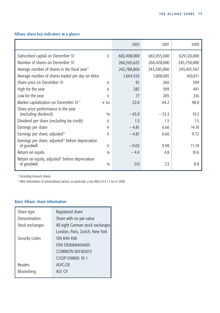## Allianz share key indicators at a glance

|                                                                             |               | 2002        | 2001        | 2000        |
|-----------------------------------------------------------------------------|---------------|-------------|-------------|-------------|
| Subscribed capital on December 31                                           | €             | 682,408,000 | 682,055,680 | 629,120,000 |
| Number of shares on December 31                                             |               | 266,565,625 | 266,428,000 | 245,750,000 |
| Average number of shares in the fiscal year <sup>1)</sup>                   |               | 242,788,806 | 243,585,880 | 245,401,507 |
| Average number of shares traded per day on Xetra                            |               | 1,664,555   | 1,008,085   | 610,611     |
| Share price on December 31                                                  | €             | 91          | 266         | 399         |
| High for the year                                                           | €             | 287         | 399         | 441         |
| Low for the year                                                            | €             | 77          | 205         | 316         |
| Market capitalization on December 31 <sup>1)</sup>                          | $\epsilon$ bn | 22.0        | 64.2        | 98.0        |
| Share price performance in the year                                         |               |             |             |             |
| (excluding dividend)                                                        | 0/0           | $-65.9$     | $-33.3$     | 19.3        |
| Dividend per share (excluding tax credit)                                   | €             | 1.5         | 1.5         | 1.5         |
| Earnings per share                                                          | €             | $-4.81$     | 6.66        | 14.10       |
| Earnings per share, adjusted <sup>2)</sup>                                  | €             | $-4.81$     | 6.66        | 9.72        |
| Earnings per share, adjusted <sup>2)</sup> before depreciation              |               |             |             |             |
| of goodwill                                                                 | €             | $-0.02$     | 9.98        | 11.74       |
| Return on equity                                                            | 0/0           | $-4.4$      | 4.8         | 10.6        |
| Return on equity, adjusted <sup>2)</sup> before depreciation<br>of goodwill | 0/0           | 0.0         | 7.2         | 8.8         |
|                                                                             |               |             |             |             |

<sup>1)</sup> Excluding treasury shares

<sup>2)</sup> After elimination of extraordinary factors, in particular, a tax effect of  $\in$  1.1 bn in 2000

## Basic Allianz share information

| Share type      | Registered share                 |
|-----------------|----------------------------------|
| Denomination    | Share with no par value          |
| Stock exchanges | All eight German stock exchanges |
|                 | London, Paris, Zurich, New York  |
| Security codes  | SIN 840 400                      |
|                 | ISIN DE0008404005                |
|                 | COMMON 001182013                 |
|                 | CUSIP 018805 10 1                |
| Reuters         | AIVG DE                          |
| Bloomberg       | AIV GY                           |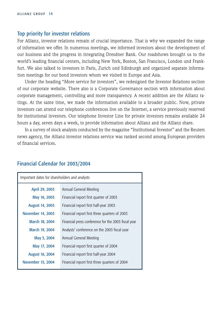#### Top priority for investor relations

For Allianz, investor relations remain of crucial importance. That is why we expanded the range of information we offer. In numerous meetings, we informed investors about the development of our business and the progress in integrating Dresdner Bank. Our roadshows brought us to the world's leading financial centers, including New York, Boston, San Francisco, London und Frankfurt. We also talked to investors in Paris, Zurich und Edinburgh and organized separate information meetings for our bond investors whom we visited in Europe and Asia.

Under the heading "More service for investors", we redesigned the Investor Relations section of our corporate website. There also is a Corporate Governance section with information about corporate management, controlling and more transparency. A recent addition are the Allianz ratings. At the same time, we made the information available to a broader public. Now, private investors can attend our telephone conferences live on the Internet, a service previously reserved for institutional investors. Our telephone Investor Line for private investors remains available 24 hours a day, seven days a week, to provide information about Allianz and the Allianz share.

In a survey of stock analysts conducted by the magazine "Institutional Investor" and the Reuters news agency, the Allianz investor relations service was ranked second among European providers of financial services.

| Important dates for shareholders and analysts |                                                     |  |  |  |
|-----------------------------------------------|-----------------------------------------------------|--|--|--|
| April 29, 2003                                | Annual General Meeting                              |  |  |  |
| May 16, 2003                                  | Financial report first quarter of 2003              |  |  |  |
| <b>August 14, 2003</b>                        | Financial report first half-year 2003               |  |  |  |
| November 14, 2003                             | Financial report first three quarters of 2003       |  |  |  |
| March 18, 2004                                | Financial press conference for the 2003 fiscal year |  |  |  |
| March 19, 2004                                | Analysts' conference on the 2003 fiscal year        |  |  |  |
| May 5, 2004                                   | Annual General Meeting                              |  |  |  |
| May 17, 2004                                  | Financial report first quarter of 2004              |  |  |  |
| August 16, 2004                               | Financial report first half-year 2004               |  |  |  |
| November 15, 2004                             | Financial report first three quarters of 2004       |  |  |  |

## Financial Calendar for 2003/2004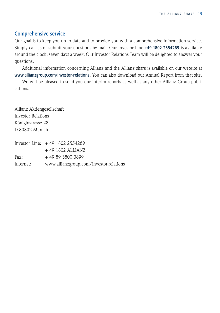# Comprehensive service

Our goal is to keep you up to date and to provide you with a comprehensive information service. Simply call us or submit your questions by mail. Our Investor Line +49 1802 2554269 is available around the clock, seven days a week. Our Investor Relations Team will be delighted to answer your questions.

Additional information concerning Allianz and the Allianz share is available on our website at www.allianzgroup.com/investor-relations. You can also download our Annual Report from that site.

We will be pleased to send you our interim reports as well as any other Allianz Group publications.

Allianz Aktiengesellschaft Investor Relations Königinstrasse 28 D-80802 Munich

Investor Line: + 49 1802 2554269 + 49 1802 ALLIANZ Fax: + 49 89 3800 3899 Internet: www.allianzgroup.com/investor-relations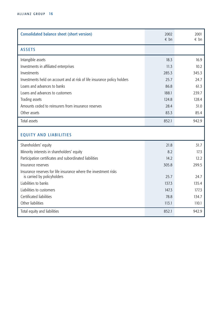| Consolidated balance sheet (short version)                                                      | 2002<br>€ bn | 2001<br>$\epsilon$ bn |
|-------------------------------------------------------------------------------------------------|--------------|-----------------------|
| <b>ASSETS</b>                                                                                   |              |                       |
| Intangible assets                                                                               | 18.3         | 16.9                  |
| Investments in affiliated enterprises                                                           | 11.3         | 10.2                  |
| Investments                                                                                     | 285.3        | 345.3                 |
| Investments held on account and at risk of life insurance policy holders                        | 25.7         | 24.7                  |
| Loans and advances to banks                                                                     | 86.8         | 61.3                  |
| Loans and advances to customers                                                                 | 188.1        | 239.7                 |
| Trading assets                                                                                  | 124.8        | 128.4                 |
| Amounts ceded to reinsurers from insurance reserves                                             | 28.4         | 31.0                  |
| Other assets                                                                                    | 83.3         | 85.4                  |
| Total assets                                                                                    | 852.1        | 942.9                 |
| <b>EQUITY AND LIABILITIES</b>                                                                   |              |                       |
| Shareholders' equity                                                                            | 21.8         | 31.7                  |
| Minority interests in shareholders' equity                                                      | 8.2          | 17.3                  |
| Participation certificates and subordinated liabilities                                         | 14.2         | 12.2                  |
| Insurance reserves                                                                              | 305.8        | 299.5                 |
| Insurance reserves for life insurance where the investment risks<br>is carried by policyholders | 25.7         | 24.7                  |
| Liabilities to banks                                                                            | 137.3        | 135.4                 |
| Liabilities to customers                                                                        | 147.3        | 177.3                 |
| Certificated liabilities                                                                        | 78.8         | 134.7                 |
| Other liabilities                                                                               | 113.1        | 110.1                 |
| Total equity and liabilities                                                                    | 852.1        | 942.9                 |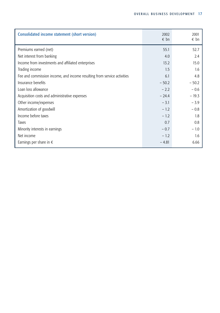| Consolidated income statement (short version)                           | 2002<br>$\epsilon$ bn | 2001<br>$\epsilon$ bn |
|-------------------------------------------------------------------------|-----------------------|-----------------------|
| Premiums earned (net)                                                   | 55.1                  | 52.7                  |
| Net interest from banking                                               | 4.0                   | 2.4                   |
| Income from investments and affiliated enterprises                      | 13.2                  | 15.0                  |
| Trading income                                                          | 1.5                   | 1.6                   |
| Fee and commission income, and income resulting from service activities | 6.1                   | 4.8                   |
| Insurance benefits                                                      | $-50.2$               | $-50.2$               |
| Loan loss allowance                                                     | $-2.2$                | $-0.6$                |
| Acquisition costs and administrative expenses                           | $-24.4$               | $-19.3$               |
| Other income/expenses                                                   | $-3.1$                | $-3.9$                |
| Amortization of goodwill                                                | $-1.2$                | $-0.8$                |
| Income before taxes                                                     | $-1.2$                | 1.8                   |
| Taxes                                                                   | 0.7                   | 0.8                   |
| Minority interests in earnings                                          | $-0.7$                | $-1.0$                |
| Net income                                                              | $-1.2$                | 1.6                   |
| Earnings per share in $\epsilon$                                        | $-4.81$               | 6.66                  |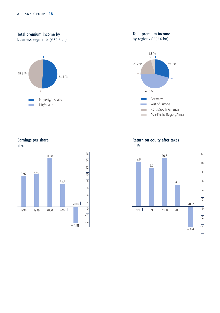#### Total premium income by business segments ( $\in$ 82.6 bn)



#### Total premium income by regions  $(\in$  82.6 bn)





Earnings per share in  $\epsilon$ 



Return on equity after taxes

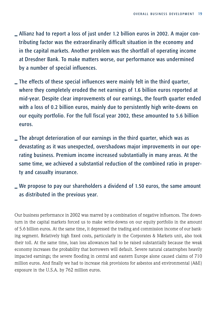- **\_** Allianz had to report a loss of just under 1.2 billion euros in 2002. A major contributing factor was the extraordinarily difficult situation in the economy and in the capital markets. Another problem was the shortfall of operating income at Dresdner Bank. To make matters worse, our performance was undermined by a number of special influences.
- **\_** The effects of these special influences were mainly felt in the third quarter, where they completely eroded the net earnings of 1.6 billion euros reported at mid-year. Despite clear improvements of our earnings, the fourth quarter ended with a loss of 0.2 billion euros, mainly due to persistently high write-downs on our equity portfolio. For the full fiscal year 2002, these amounted to 5.6 billion euros.
- **\_** The abrupt deterioration of our earnings in the third quarter, which was as devastating as it was unexpected, overshadows major improvements in our operating business. Premium income increased substantially in many areas. At the same time, we achieved a substantial reduction of the combined ratio in property and casualty insurance.
- **\_** We propose to pay our shareholders a dividend of 1.50 euros, the same amount as distributed in the previous year.

Our business performance in 2002 was marred by a combination of negative influences. The downturn in the capital markets forced us to make write-downs on our equity portfolio in the amount of 5.6 billion euros. At the same time, it depressed the trading and commission income of our banking segment. Relatively high fixed costs, particularly in the Corporates & Markets unit, also took their toll. At the same time, loan loss allowances had to be raised substantially because the weak economy increases the probability that borrowers will default. Severe natural catastrophes heavily impacted earnings; the severe flooding in central and eastern Europe alone caused claims of 710 million euros. And finally we had to increase risk provisions for asbestos and environmental (A&E) exposure in the U.S.A. by 762 million euros.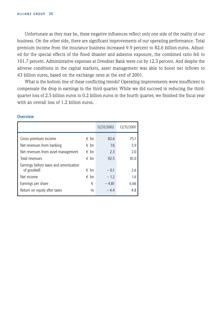Unfortunate as they may be, these negative influences reflect only one side of the reality of our business. On the other side, there are significant improvements of our operating performance. Total premium income from the insurance business increased 9.9 percent to 82.6 billion euros. Adjusted for the special effects of the flood disaster and asbestos exposure, the combined ratio fell to 101.7 percent. Administrative expenses at Dresdner Bank were cut by 12.3 percent. And despite the adverse conditions in the capital markets, asset management was able to boost net inflows to 43 billion euros, based on the exchange rates at the end of 2001.

What is the bottom line of these conflicting trends? Operating improvements were insufficient to compensate the drop in earnings in the third quarter. While we did succeed in reducing the thirdquarter loss of 2.5 billion euros to 0.2 billion euros in the fourth quarter, we finished the fiscal year with an overall loss of 1.2 billion euros.

|                                                       |                              | 12/31/2002  | 12/31/2001  |
|-------------------------------------------------------|------------------------------|-------------|-------------|
| Gross premium income<br>Net revenues from banking     | $\notin$ bn<br>$\epsilon$ bn | 82.6<br>7.6 | 75.1<br>3.9 |
| Net revenues from asset management<br>Total revenues  | $\notin$ bn<br>$\notin$ bn   | 2.3<br>92.5 | 2.0<br>81.0 |
| Earnings before taxes and amortization<br>of goodwill | $\notin$ bn                  | $-0.1$      | 2.6         |
| Net income                                            | $\notin$ bn                  | $-1.2$      | 1.6         |
| Earnings per share                                    | €                            | $-4.81$     | 6.66        |
| Return on equity after taxes                          | 0/0                          | $-4.4$      | 4.8         |

#### **Overview**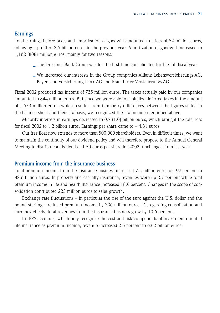### **Earnings**

Total earnings before taxes and amortization of goodwill amounted to a loss of 52 million euros, following a profit of 2.6 billion euros in the previous year. Amortization of goodwill increased to 1,162 (808) million euros, mainly for two reasons:

- **\_** The Dresdner Bank Group was for the first time consolidated for the full fiscal year.
- **\_** We increased our interests in the Group companies Allianz Lebensversicherungs-AG, Bayerische Versicherungsbank AG and Frankfurter Versicherungs-AG.

Fiscal 2002 produced tax income of 735 million euros. The taxes actually paid by our companies amounted to 844 million euros. But since we were able to capitalize deferred taxes in the amount of 1,653 million euros, which resulted from temporary differences between the figures stated in the balance sheet and their tax basis, we recognized the tax income mentioned above.

Minority interests in earnings decreased to  $0.7$  (1.0) billion euros, which brought the total loss for fiscal 2002 to 1.2 billion euros. Earnings per share came to  $-4.81$  euros.

Our free float now extends to more than 500,000 shareholders. Even in difficult times, we want to maintain the continuity of our dividend policy and will therefore propose to the Annual General Meeting to distribute a dividend of 1.50 euros per share for 2002, unchanged from last year.

## Premium income from the insurance business

Total premium income from the insurance business increased 7.5 billion euros or 9.9 percent to 82.6 billion euros. In property and casualty insurance, revenues were up 2.7 percent while total premium income in life and health insurance increased 18.9 percent. Changes in the scope of consolidation contributed 223 million euros to sales growth.

Exchange rate fluctuations – in particular the rise of the euro against the U.S. dollar and the pound sterling – reduced premium income by 736 million euros. Disregarding consolidation and currency effects, total revenues from the insurance business grew by 10.6 percent.

In IFRS accounts, which only recognize the cost and risk components of investment-oriented life insurance as premium income, revenue increased 2.5 percent to 63.2 billion euros.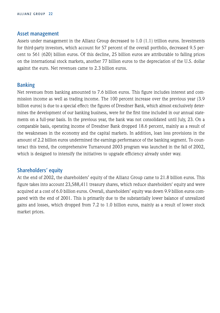#### Asset management

Assets under management in the Allianz Group decreased to 1.0 (1.1) trillion euros. Investments for third-party investors, which account for 57 percent of the overall portfolio, decreased 9.5 percent to 561 (620) billion euros. Of this decline, 25 billion euros are attributable to falling prices on the international stock markets, another 77 billion euros to the depreciation of the U.S. dollar against the euro. Net revenues came to 2.3 billion euros.

## Banking

Net revenues from banking amounted to 7.6 billion euros. This figure includes interest and commission income as well as trading income. The 100 percent increase over the previous year (3.9 billion euros) is due to a special effect: the figures of Dresdner Bank, which almost exclusively determines the development of our banking business, were for the first time included in our annual statements on a full-year basis. In the previous year, the bank was not consolidated until July, 23. On a comparable basis, operating income of Dresdner Bank dropped 18.6 percent, mainly as a result of the weaknesses in the economy and the capital markets. In addition, loan loss provisions in the amount of 2.2 billion euros undermined the earnings performance of the banking segment. To counteract this trend, the comprehensive Turnaround 2003 program was launched in the fall of 2002, which is designed to intensify the initiatives to upgrade efficiency already under way.

# Shareholders' equity

At the end of 2002, the shareholders' equity of the Allianz Group came to 21.8 billion euros. This figure takes into account 23,588,411 treasury shares, which reduce shareholders' equity and were acquired at a cost of 6.0 billion euros. Overall, shareholders' equity was down 9.9 billion euros compared with the end of 2001. This is primarily due to the substantially lower balance of unrealized gains and losses, which dropped from 7.2 to 1.0 billion euros, mainly as a result of lower stock market prices.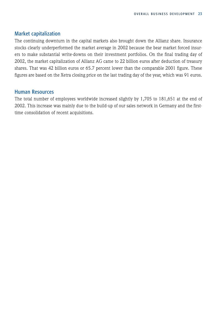# Market capitalization

The continuing downturn in the capital markets also brought down the Allianz share. Insurance stocks clearly underperformed the market average in 2002 because the bear market forced insurers to make substantial write-downs on their investment portfolios. On the final trading day of 2002, the market capitalization of Allianz AG came to 22 billion euros after deduction of treasury shares. That was 42 billion euros or 65.7 percent lower than the comparable 2001 figure. These figures are based on the Xetra closing price on the last trading day of the year, which was 91 euros.

#### Human Resources

The total number of employees worldwide increased slightly by 1,705 to 181,651 at the end of 2002. This increase was mainly due to the build-up of our sales network in Germany and the firsttime consolidation of recent acquisitions.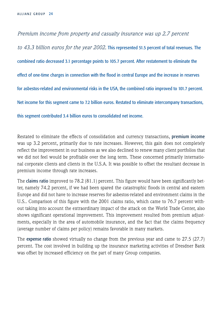*Premium income from property and casualty insurance was up 2.7 percent to 43.3 billion euros for the year 2002.* This represented 51.5 percent of total revenues. The combined ratio decreased 3.1 percentage points to 105.7 percent. After restatement to eliminate the effect of one-time charges in connection with the flood in central Europe and the increase in reserves for asbestos-related and environmental risks in the USA, the combined ratio improved to 101.7 percent. Net income for this segment came to 7.2 billion euros. Restated to eliminate intercompany transactions, this segment contributed 3.4 billion euros to consolidated net income.

Restated to eliminate the effects of consolidation and currency transactions, premium income was up 3.2 percent, primarily due to rate increases. However, this gain does not completely reflect the improvement in our business as we also declined to renew many client portfolios that we did not feel would be profitable over the long term. These concerned primarily international corporate clients and clients in the U.S.A. It was possible to offset the resultant decrease in premium income through rate increases.

The claims ratio improved to 78.2 (81.1) percent. This figure would have been significantly better, namely 74.2 percent, if we had been spared the catastrophic floods in central and eastern Europe and did not have to increase reserves for asbestos-related and environment claims in the U.S.. Comparison of this figure with the 2001 claims ratio, which came to 76.7 percent without taking into account the extraordinary impact of the attack on the World Trade Center, also shows significant operational improvement. This improvement resulted from premium adjustments, especially in the area of automobile insurance, and the fact that the claims frequency (average number of claims per policy) remains favorable in many markets.

The expense ratio showed virtually no change from the previous year and came to 27.5 (27.7) percent. The cost involved in building up the insurance marketing activities of Dresdner Bank was offset by increased efficiency on the part of many Group companies.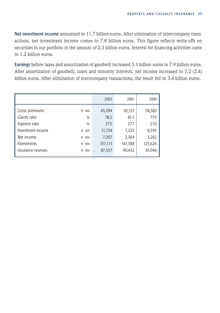Net investment income amounted to 11.7 billion euros. After elimination of intercompany transactions, net investment income comes to 7.8 billion euros. This figure reflects write-offs on securities in our portfolio in the amount of 2.3 billion euros. Interest for financing activities came to 1.2 billion euros.

Earnings before taxes and amortization of goodwill increased 5.1 billion euros to 7.9 billion euros. After amortization of goodwill, taxes and minority interests, net income increased to 7.2 (2.4) billion euros. After elimination of intercompany transactions, the result fell to 3.4 billion euros.

|                    |               | 2002    | 2001    | 2000    |
|--------------------|---------------|---------|---------|---------|
| Gross premiums     | $\epsilon$ mn | 43,294  | 42,137  | 38,382  |
| Claims ratio       | 0/0           | 78.2    | 81.1    | 77.9    |
| Expense ratio      | 0/0           | 27.5    | 27.7    | 27.0    |
| Investment income  | $\epsilon$ mn | 11,734  | 7,325   | 8,393   |
| Net income         | $\epsilon$ mn | 7,207   | 2,364   | 3,262   |
| Investments        | $\epsilon$ mn | 137,113 | 141,388 | 125,626 |
| Insurance reserves | €<br>mn       | 87,557  | 90,432  | 81,046  |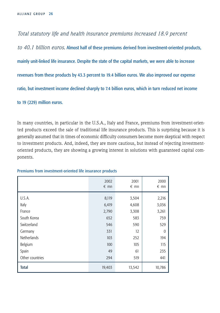*Total statutory life and health insurance premiums increased 18.9 percent* 

*to 40.1 billion euros.* Almost half of these premiums derived from investment-oriented products, mainly unit-linked life insurance. Despite the state of the capital markets, we were able to increase revenues from these products by 43.3 percent to 19.4 billion euros. We also improved our expense ratio, but investment income declined sharply to 7.4 billion euros, which in turn reduced net income to 19 (229) million euros.

In many countries, in particular in the U.S.A., Italy and France, premiums from investment-oriented products exceed the sale of traditional life insurance products. This is surprising because it is generally assumed that in times of economic difficulty consumers become more skeptical with respect to investment products. And, indeed, they are more cautious, but instead of rejecting investmentoriented products, they are showing a growing interest in solutions with guaranteed capital components.

|                 | 2002<br>$\epsilon$ mn | 2001<br>$\epsilon$ mn | 2000<br>$\epsilon$ mn |
|-----------------|-----------------------|-----------------------|-----------------------|
| U.S.A.          | 8,119                 | 3,504                 | 2,216                 |
| Italy           | 6,419                 | 4,608                 | 3,036                 |
| France          | 2,790                 | 3,308                 | 3,261                 |
| South Korea     | 652                   | 583                   | 759                   |
| Switzerland     | 546                   | 590                   | 529                   |
| Germany         | 331                   | 12                    | $\mathbf 0$           |
| Netherlands     | 103                   | 252                   | 194                   |
| Belgium         | 100                   | 105                   | 115                   |
| Spain           | 49                    | 61                    | 235                   |
| Other countries | 294                   | 519                   | 441                   |
| <b>Total</b>    | 19,403                | 13,542                | 10,786                |

#### Premiums from investment-oriented life insurance products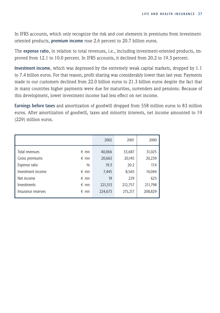In IFRS accounts, which only recognize the risk and cost elements in premiums from investmentoriented products, premium income rose 2.6 percent to 20.7 billion euros.

The expense ratio, in relation to total revenues, i.e., including investment-oriented products, improved from 12.1 to 10.0 percent. In IFRS accounts, it declined from 20.2 to 19.3 percent.

Investment income, which was depressed by the extremely weak capital markets, dropped by 1.1 to 7.4 billion euros. For that reason, profit sharing was considerably lower than last year. Payments made to our customers declined from 22.0 billion euros to 21.3 billion euros despite the fact that in many countries higher payments were due for maturities, surrenders and pensions. Because of this development, lower investment income had less effect on net income.

Earnings before taxes and amortization of goodwill dropped from 558 million euros to 83 million euros. After amortization of goodwill, taxes and minority interests, net income amounted to 19 (229) million euros.

|                    |               | 2002    | 2001    | 2000    |
|--------------------|---------------|---------|---------|---------|
| Total revenues     | $\epsilon$ mn | 40,066  | 33,687  | 31,025  |
| Gross premiums     | $\epsilon$ mn | 20,663  | 20,145  | 20,239  |
| Expense ratio      | 0/0           | 19.3    | 20.2    | 17.4    |
| Investment income  | $\epsilon$ mn | 7,445   | 8,565   | 14,044  |
| Net income         | $\epsilon$ mn | 19      | 229     | 625     |
| Investments        | $\epsilon$ mn | 221,313 | 212,757 | 211,798 |
| Insurance reserves | $\epsilon$ mn | 224,673 | 215,217 | 208,829 |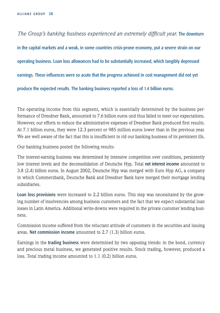*The Group's banking business experienced an extremely difficult year.* The downturn in the capital markets and a weak, in some countries crisis-prone economy, put a severe strain on our operating business. Loan loss allowances had to be substantially increased, which tangibly depressed earnings. These influences were so acute that the progress achieved in cost management did not yet produce the expected results. The banking business reported a loss of 1.4 billion euros.

The operating income from this segment, which is essentially determined by the business performance of Dresdner Bank, amounted to 7.6 billion euros und thus failed to meet our expectations. However, our efforts to reduce the administrative expenses of Dresdner Bank produced first results. At 7.1 billion euros, they were 12.3 percent or 985 million euros lower than in the previous year. We are well aware of the fact that this is insufficient to rid our banking business of its persistent ills.

Our banking business posted the following results:

The interest-earning business was determined by intensive competition over conditions, persistently low interest levels and the deconsolidation of Deutsche Hyp. Total net interest income amounted to 3.8 (2.4) billion euros. In August 2002, Deutsche Hyp was merged with Euro Hyp AG, a company in which Commerzbank, Deutsche Bank and Dresdner Bank have merged their mortgage lending subsidiaries.

Loan loss provisions were increased to 2.2 billion euros. This step was necessitated by the growing number of insolvencies among business customers and the fact that we expect substantial loan losses in Latin America. Additional write-downs were required in the private customer lending business.

Commission income suffered from the reluctant attitude of customers in the securities and issuing areas. Net commission income amounted to 2.7 (1.3) billion euros.

Earnings in the trading business were determined by two opposing trends: in the bond, currency and precious metal business, we generated positive results. Stock trading, however, produced a loss. Total trading income amounted to 1.1 (0.2) billion euros.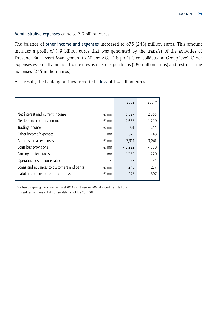#### Administrative expenses came to 7.3 billion euros.

The balance of other income and expenses increased to 675 (248) million euros. This amount includes a profit of 1.9 billion euros that was generated by the transfer of the activities of Dresdner Bank Asset Management to Allianz AG. This profit is consolidated at Group level. Other expenses essentially included write-downs on stock portfolios (986 million euros) and restructuring expenses (245 million euros).

As a result, the banking business reported a loss of 1.4 billion euros.

|                                           |               | 2002     | 2001"    |
|-------------------------------------------|---------------|----------|----------|
| Net interest and current income           | $\epsilon$ mn | 3,827    | 2,363    |
| Net fee and commission income             | $\epsilon$ mn | 2,658    | 1,290    |
| Trading income                            | $\n  mn\n$    | 1,081    | 244      |
| Other income/expenses                     | $\n  mn\n$    | 675      | 248      |
| Administrative expenses                   | $\n  mn\n$    | $-7,314$ | $-3,261$ |
| Loan loss provisions                      | $\epsilon$ mn | $-2,222$ | $-588$   |
| Earnings before taxes                     | $\epsilon$ mn | $-1,358$ | $-220$   |
| Operating cost income ratio               | 0/0           | 97       | 84       |
| Loans and advances to customers and banks | $\epsilon$ mn | 246      | 277      |
| Liabilities to customers and banks        | $\epsilon$ mn | 278      | 307      |
|                                           |               |          |          |

\*) When comparing the figures for fiscal 2002 with those for 2001, it should be noted that Dresdner Bank was initially consolidated as of July 23, 2001.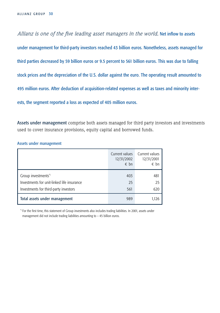*Allianz is one of the five leading asset managers in the world.* Net inflow to assets under management for third-party investors reached 43 billion euros. Nonetheless, assets managed for third parties decreased by 59 billion euros or 9.5 percent to 561 billion euros. This was due to falling stock prices and the depreciation of the U.S. dollar against the euro. The operating result amounted to 495 million euros. After deduction of acquisition-related expenses as well as taxes and minority interests, the segment reported a loss as expected of 405 million euros.

Assets under management comprise both assets managed for third party investors and investments used to cover insurance provisions, equity capital and borrowed funds.

#### Assets under management

|                                                                                                            | Current values<br>12/31/2002<br>$\epsilon$ bn | Current values<br>12/31/2001<br>€ bn |
|------------------------------------------------------------------------------------------------------------|-----------------------------------------------|--------------------------------------|
| Group investments*)<br>Investments for unit-linked life insurance<br>Investments for third-party investors | 403<br>25<br>561                              | 481<br>25<br>620                     |
| Total assets under management                                                                              | 989                                           | 1,126                                |

\*) For the first time, this statement of Group investments also includes trading liabilities. In 2001, assets under management did not include trading liabilities amounting to – 45 billion euros.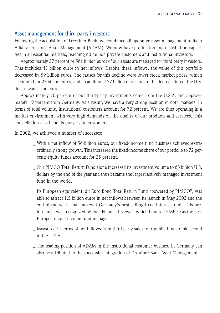## Asset management for third party investors

Following the acquisition of Dresdner Bank, we combined all operative asset management units in Allianz Dresdner Asset Management (ADAM). We now have production and distribution capacities in all essential markets, reaching 60 million private customers and institutional investors.

Approximately 57 percent or 561 billion euros of our assets are managed for third party investors. That includes 43 billion euros in net inflows. Despite these inflows, the value of this portfolio decreased by 59 billion euros. The causes for this decline were lower stock market prices, which accounted for 25 billion euros, and an additional 77 billion euros due to the depreciation of the U.S. dollar against the euro.

Approximately 70 percent of our third-party investments come from the U.S.A. and approximately 19 percent from Germany. As a result, we have a very strong position in both markets. In terms of total volume, institutional customers account for 72 percent. We are thus operating in a market environment with very high demands on the quality of our products and services. This constellation also benefits our private customers.

In 2002, we achieved a number of successes:

- **\_** With a net inflow of 56 billion euros, our fixed-income fund business achieved extraordinarily strong growth. This increased the fixed-income share of our portfolio to 72 percent; equity funds account for 25 percent.
- **\_** Our PIMCO Total Return Fund alone increased its investment volume to 68 billion U.S. dollars by the end of the year and thus became the largest actively managed investment fund in the world.
- **\_** Its European equivalent, dit Euro Bond Total Return Fund "powered by PIMCO", was able to attract 1.5 billion euros in net inflows between its launch in May 2002 and the end of the year. That makes it Germany´s best-selling fixed-interest fund. This performance was recognized by the "Financial News", which honored PIMCO as the best European fixed-income fund manager.
- **\_** Measured in terms of net inflows from third-party sales, our public funds rank second in the U.S.A.
- **\_** The leading position of ADAM in the institutional customer business in Germany can also be attributed to the successful integration of Dresdner Bank Asset Management.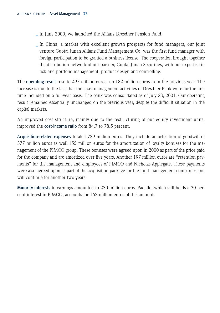- **\_** In June 2000, we launched the Allianz Dresdner Pension Fund.
- **\_** In China, a market with excellent growth prospects for fund managers, our joint venture Guotai Junan Allianz Fund Management Co. was the first fund manager with foreign participation to be granted a business license. The cooperation brought together the distribution network of our partner, Guotai Junan Securities, with our expertise in risk and portfolio management, product design and controlling.

The operating result rose to 495 million euros, up 182 million euros from the previous year. The increase is due to the fact that the asset management activities of Dresdner Bank were for the first time included on a full-year basis. The bank was consolidated as of July 23, 2001. Our operating result remained essentially unchanged on the previous year, despite the difficult situation in the capital markets.

An improved cost structure, mainly due to the restructuring of our equity investment units, improved the cost-income ratio from 84.7 to 78.5 percent.

Acquisition-related expenses totaled 729 million euros. They include amortization of goodwill of 377 million euros as well 155 million euros for the amortization of loyalty bonuses for the management of the PIMCO group. These bonuses were agreed upon in 2000 as part of the price paid for the company and are amortized over five years. Another 197 million euros are "retention payments" for the management and employees of PIMCO and Nicholas-Applegate. These payments were also agreed upon as part of the acquisition package for the fund management companies and will continue for another two years.

Minority interests in earnings amounted to 230 million euros. PacLife, which still holds a 30 percent interest in PIMCO, accounts for 162 million euros of this amount.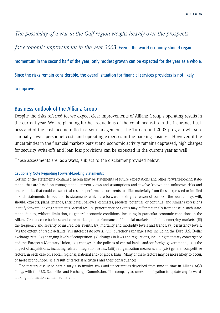*The possibility of a war in the Gulf region weighs heavily over the prospects for economic improvement in the year 2003.* Even if the world economy should regain momentum in the second half of the year, only modest growth can be expected for the year as a whole. Since the risks remain considerable, the overall situation for financial services providers is not likely to improve.

### Business outlook of the Allianz Group

Despite the risks referred to, we expect clear improvements of Allianz Group's operating results in the current year. We are planning further reductions of the combined ratio in the insurance business and of the cost-income ratio in asset management. The Turnaround 2003 program will substantially lower personnel costs and operating expenses in the banking business. However, if the uncertainties in the financial markets persist and economic activity remains depressed, high charges for security write-offs and loan loss provisions can be expected in the current year as well.

These assessments are, as always, subject to the disclaimer provided below.

#### Cautionary Note Regarding Forward-Looking Statements:

Certain of the statements contained herein may be statements of future expectations and other forward-looking statements that are based on management's current views and assumptions and involve known and unknown risks and uncertainties that could cause actual results, performance or events to differ materially from those expressed or implied in such statements. In addition to statements which are forward-looking by reason of context, the words 'may, will, should, expects, plans, intends, anticipates, believes, estimates, predicts, potential, or continue' and similar expressions identify forward-looking statements. Actual results, performance or events may differ materially from those in such statements due to, without limitation, (i) general economic conditions, including in particular economic conditions in the Allianz Group's core business and core markets, (ii) performance of financial markets, including emerging markets, (iii) the frequency and severity of insured loss events, (iv) mortality and morbidity levels and trends, (v) persistency levels, (vi) the extent of credit defaults (vii) interest rate levels, (viii) currency exchange rates including the Euro-U.S. Dollar exchange rate, (ix) changing levels of competition, (x) changes in laws and regulations, including monetary convergence and the European Monetary Union, (xi) changes in the policies of central banks and/or foreign governments, (xii) the impact of acquisitions, including related integration issues, (xiii) reorganization measures and (xiv) general competitive factors, in each case on a local, regional, national and/or global basis. Many of these factors may be more likely to occur, or more pronounced, as a result of terrorist activities and their consequences.

The matters discussed herein may also involve risks and uncertainties described from time to time in Allianz AG's filings with the U.S. Securities and Exchange Commission. The company assumes no obligation to update any forwardlooking information contained herein.